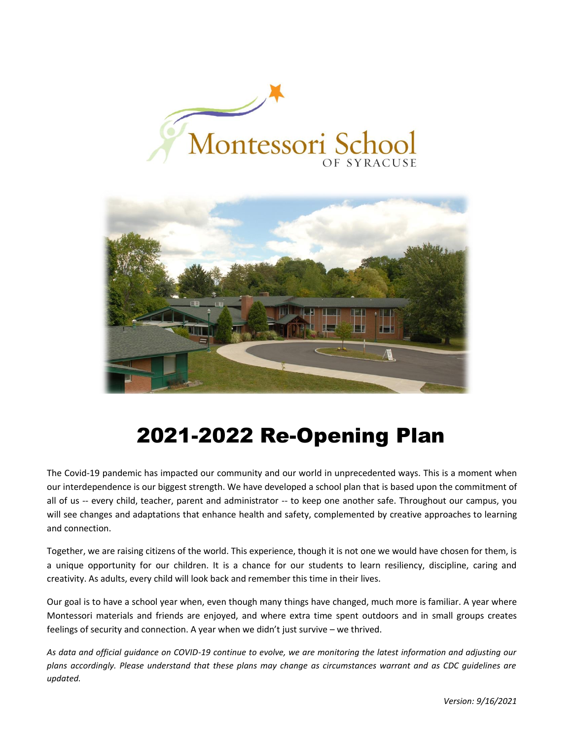



# 2021-2022 Re-Opening Plan

The Covid-19 pandemic has impacted our community and our world in unprecedented ways. This is a moment when our interdependence is our biggest strength. We have developed a school plan that is based upon the commitment of all of us -- every child, teacher, parent and administrator -- to keep one another safe. Throughout our campus, you will see changes and adaptations that enhance health and safety, complemented by creative approaches to learning and connection.

Together, we are raising citizens of the world. This experience, though it is not one we would have chosen for them, is a unique opportunity for our children. It is a chance for our students to learn resiliency, discipline, caring and creativity. As adults, every child will look back and remember this time in their lives.

Our goal is to have a school year when, even though many things have changed, much more is familiar. A year where Montessori materials and friends are enjoyed, and where extra time spent outdoors and in small groups creates feelings of security and connection. A year when we didn't just survive – we thrived.

*As data and official guidance on COVID-19 continue to evolve, we are monitoring the latest information and adjusting our plans accordingly. Please understand that these plans may change as circumstances warrant and as CDC guidelines are updated.*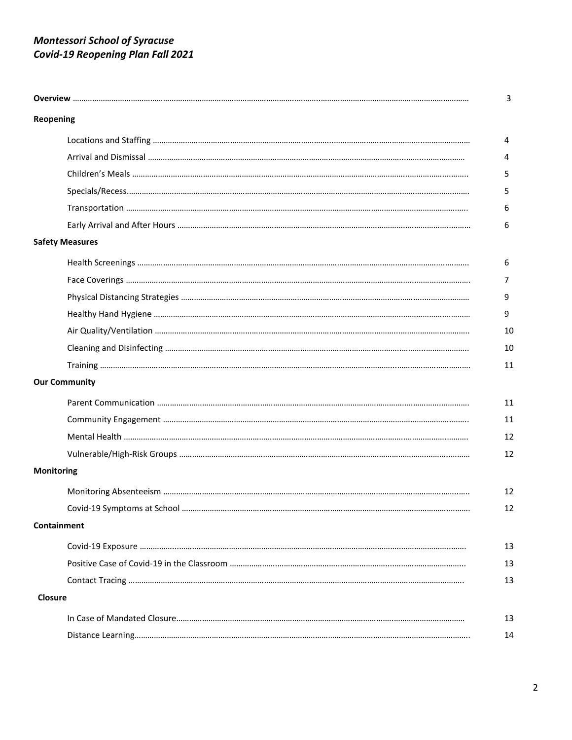# *Montessori School of Syracuse Covid-19 Reopening Plan Fall 2021*

| Reopening         |                        |  |
|-------------------|------------------------|--|
|                   |                        |  |
|                   |                        |  |
|                   |                        |  |
|                   |                        |  |
|                   |                        |  |
|                   |                        |  |
|                   | <b>Safety Measures</b> |  |
|                   |                        |  |
|                   |                        |  |
|                   |                        |  |
|                   |                        |  |
|                   |                        |  |
|                   |                        |  |
|                   |                        |  |
|                   | <b>Our Community</b>   |  |
|                   |                        |  |
|                   |                        |  |
|                   |                        |  |
|                   |                        |  |
| <b>Monitoring</b> |                        |  |
|                   |                        |  |
|                   |                        |  |
|                   | Containment            |  |
|                   |                        |  |
|                   |                        |  |
|                   |                        |  |
| Closure           |                        |  |
|                   |                        |  |
|                   |                        |  |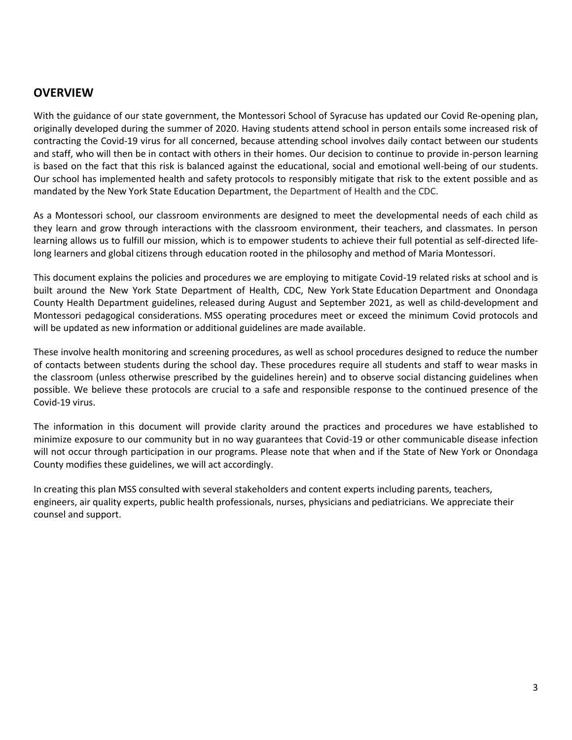### **OVERVIEW**

With the guidance of our state government, the Montessori School of Syracuse has updated our Covid Re-opening plan, originally developed during the summer of 2020. Having students attend school in person entails some increased risk of contracting the Covid-19 virus for all concerned, because attending school involves daily contact between our students and staff, who will then be in contact with others in their homes. Our decision to continue to provide in-person learning is based on the fact that this risk is balanced against the educational, social and emotional well-being of our students. Our school has implemented health and safety protocols to responsibly mitigate that risk to the extent possible and as mandated by the New York State Education Department, the Department of Health and the CDC.

As a Montessori school, our classroom environments are designed to meet the developmental needs of each child as they learn and grow through interactions with the classroom environment, their teachers, and classmates. In person learning allows us to fulfill our mission, which is to empower students to achieve their full potential as self-directed lifelong learners and global citizens through education rooted in the philosophy and method of Maria Montessori.

This document explains the policies and procedures we are employing to mitigate Covid-19 related risks at school and is built around the New York State Department of Health, CDC, New York State Education Department and Onondaga County Health Department guidelines, released during August and September 2021, as well as child-development and Montessori pedagogical considerations. MSS operating procedures meet or exceed the minimum Covid protocols and will be updated as new information or additional guidelines are made available.

These involve health monitoring and screening procedures, as well as school procedures designed to reduce the number of contacts between students during the school day. These procedures require all students and staff to wear masks in the classroom (unless otherwise prescribed by the guidelines herein) and to observe social distancing guidelines when possible. We believe these protocols are crucial to a safe and responsible response to the continued presence of the Covid-19 virus.

The information in this document will provide clarity around the practices and procedures we have established to minimize exposure to our community but in no way guarantees that Covid-19 or other communicable disease infection will not occur through participation in our programs. Please note that when and if the State of New York or Onondaga County modifies these guidelines, we will act accordingly.

In creating this plan MSS consulted with several stakeholders and content experts including parents, teachers, engineers, air quality experts, public health professionals, nurses, physicians and pediatricians. We appreciate their counsel and support.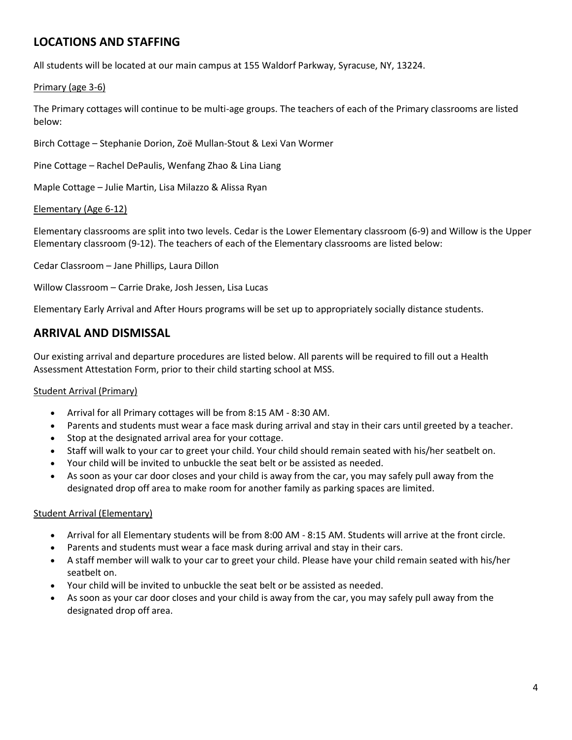# **LOCATIONS AND STAFFING**

All students will be located at our main campus at 155 Waldorf Parkway, Syracuse, NY, 13224.

#### Primary (age 3-6)

The Primary cottages will continue to be multi-age groups. The teachers of each of the Primary classrooms are listed below:

Birch Cottage – Stephanie Dorion, Zoë Mullan-Stout & Lexi Van Wormer

Pine Cottage – Rachel DePaulis, Wenfang Zhao & Lina Liang

Maple Cottage – Julie Martin, Lisa Milazzo & Alissa Ryan

#### Elementary (Age 6-12)

Elementary classrooms are split into two levels. Cedar is the Lower Elementary classroom (6-9) and Willow is the Upper Elementary classroom (9-12). The teachers of each of the Elementary classrooms are listed below:

Cedar Classroom – Jane Phillips, Laura Dillon

Willow Classroom – Carrie Drake, Josh Jessen, Lisa Lucas

Elementary Early Arrival and After Hours programs will be set up to appropriately socially distance students.

### **ARRIVAL AND DISMISSAL**

Our existing arrival and departure procedures are listed below. All parents will be required to fill out a Health Assessment Attestation Form, prior to their child starting school at MSS.

#### Student Arrival (Primary)

- Arrival for all Primary cottages will be from 8:15 AM 8:30 AM.
- Parents and students must wear a face mask during arrival and stay in their cars until greeted by a teacher.
- Stop at the designated arrival area for your cottage.
- Staff will walk to your car to greet your child. Your child should remain seated with his/her seatbelt on.
- Your child will be invited to unbuckle the seat belt or be assisted as needed.
- As soon as your car door closes and your child is away from the car, you may safely pull away from the designated drop off area to make room for another family as parking spaces are limited.

#### Student Arrival (Elementary)

- Arrival for all Elementary students will be from 8:00 AM 8:15 AM. Students will arrive at the front circle.
- Parents and students must wear a face mask during arrival and stay in their cars.
- A staff member will walk to your car to greet your child. Please have your child remain seated with his/her seatbelt on.
- Your child will be invited to unbuckle the seat belt or be assisted as needed.
- As soon as your car door closes and your child is away from the car, you may safely pull away from the designated drop off area.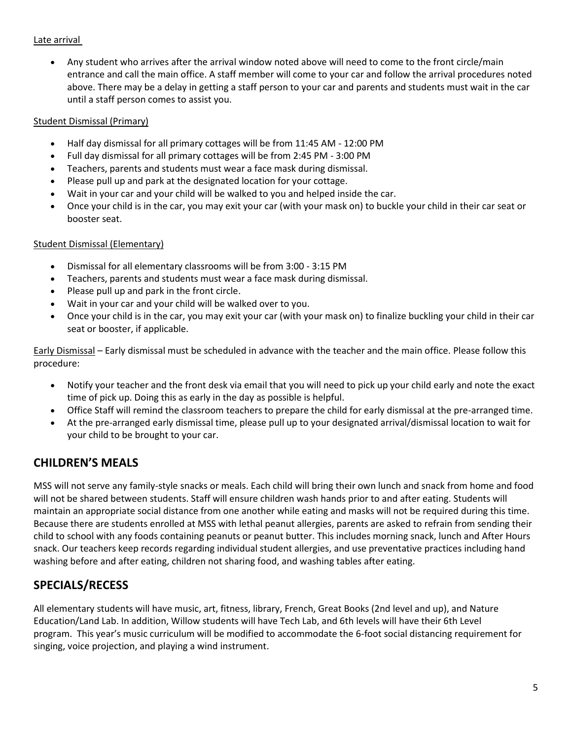#### Late arrival

• Any student who arrives after the arrival window noted above will need to come to the front circle/main entrance and call the main office. A staff member will come to your car and follow the arrival procedures noted above. There may be a delay in getting a staff person to your car and parents and students must wait in the car until a staff person comes to assist you.

#### Student Dismissal (Primary)

- Half day dismissal for all primary cottages will be from 11:45 AM 12:00 PM
- Full day dismissal for all primary cottages will be from 2:45 PM 3:00 PM
- Teachers, parents and students must wear a face mask during dismissal.
- Please pull up and park at the designated location for your cottage.
- Wait in your car and your child will be walked to you and helped inside the car.
- Once your child is in the car, you may exit your car (with your mask on) to buckle your child in their car seat or booster seat.

#### Student Dismissal (Elementary)

- Dismissal for all elementary classrooms will be from 3:00 3:15 PM
- Teachers, parents and students must wear a face mask during dismissal.
- Please pull up and park in the front circle.
- Wait in your car and your child will be walked over to you.
- Once your child is in the car, you may exit your car (with your mask on) to finalize buckling your child in their car seat or booster, if applicable.

Early Dismissal – Early dismissal must be scheduled in advance with the teacher and the main office. Please follow this procedure:

- Notify your teacher and the front desk via email that you will need to pick up your child early and note the exact time of pick up. Doing this as early in the day as possible is helpful.
- Office Staff will remind the classroom teachers to prepare the child for early dismissal at the pre-arranged time.
- At the pre-arranged early dismissal time, please pull up to your designated arrival/dismissal location to wait for your child to be brought to your car.

### **CHILDREN'S MEALS**

MSS will not serve any family-style snacks or meals. Each child will bring their own lunch and snack from home and food will not be shared between students. Staff will ensure children wash hands prior to and after eating. Students will maintain an appropriate social distance from one another while eating and masks will not be required during this time. Because there are students enrolled at MSS with lethal peanut allergies, parents are asked to refrain from sending their child to school with any foods containing peanuts or peanut butter. This includes morning snack, lunch and After Hours snack. Our teachers keep records regarding individual student allergies, and use preventative practices including hand washing before and after eating, children not sharing food, and washing tables after eating.

### **SPECIALS/RECESS**

All elementary students will have music, art, fitness, library, French, Great Books (2nd level and up), and Nature Education/Land Lab. In addition, Willow students will have Tech Lab, and 6th levels will have their 6th Level program. This year's music curriculum will be modified to accommodate the 6-foot social distancing requirement for singing, voice projection, and playing a wind instrument.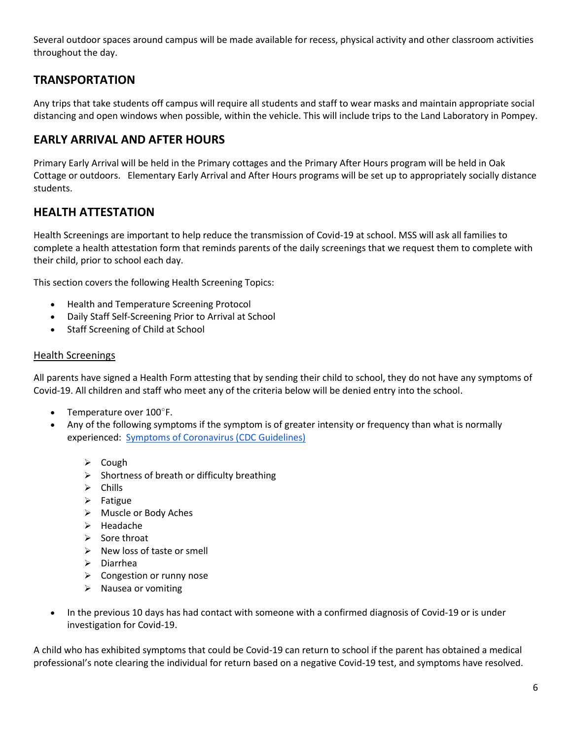Several outdoor spaces around campus will be made available for recess, physical activity and other classroom activities throughout the day.

### **TRANSPORTATION**

Any trips that take students off campus will require all students and staff to wear masks and maintain appropriate social distancing and open windows when possible, within the vehicle. This will include trips to the Land Laboratory in Pompey.

### **EARLY ARRIVAL AND AFTER HOURS**

Primary Early Arrival will be held in the Primary cottages and the Primary After Hours program will be held in Oak Cottage or outdoors. Elementary Early Arrival and After Hours programs will be set up to appropriately socially distance students.

### **HEALTH ATTESTATION**

Health Screenings are important to help reduce the transmission of Covid-19 at school. MSS will ask all families to complete a health attestation form that reminds parents of the daily screenings that we request them to complete with their child, prior to school each day.

This section covers the following Health Screening Topics:

- Health and Temperature Screening Protocol
- Daily Staff Self-Screening Prior to Arrival at School
- Staff Screening of Child at School

#### Health Screenings

All parents have signed a Health Form attesting that by sending their child to school, they do not have any symptoms of Covid-19. All children and staff who meet any of the criteria below will be denied entry into the school.

- Temperature over 100°F.
- Any of the following symptoms if the symptom is of greater intensity or frequency than what is normally experienced: [Symptoms of Coronavirus \(CDC Guidelines\)](https://www.cdc.gov/coronavirus/2019-ncov/symptoms-testing/symptoms.html)
	- ➢ Cough
	- $\triangleright$  Shortness of breath or difficulty breathing
	- ➢ Chills
	- ➢ Fatigue
	- ➢ Muscle or Body Aches
	- ➢ Headache
	- ➢ Sore throat
	- ➢ New loss of taste or smell
	- ➢ Diarrhea
	- ➢ Congestion or runny nose
	- ➢ Nausea or vomiting
- In the previous 10 days has had contact with someone with a confirmed diagnosis of Covid-19 or is under investigation for Covid-19.

A child who has exhibited symptoms that could be Covid-19 can return to school if the parent has obtained a medical professional's note clearing the individual for return based on a negative Covid-19 test, and symptoms have resolved.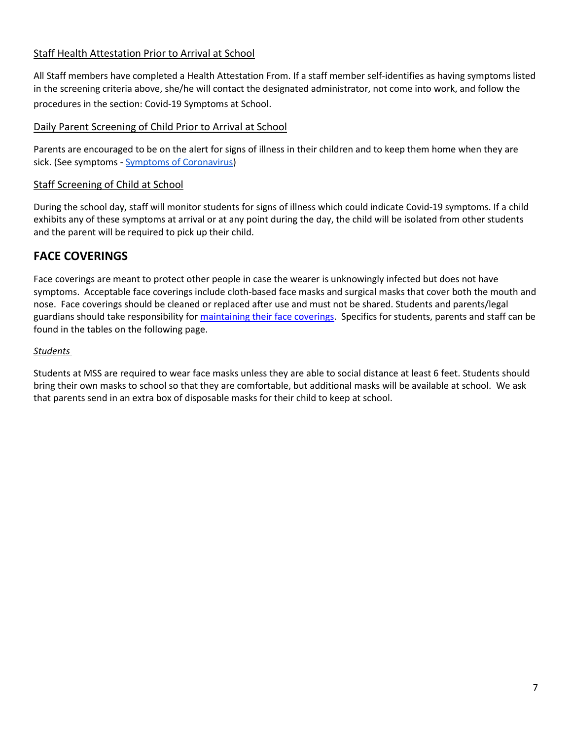#### Staff Health Attestation Prior to Arrival at School

All Staff members have completed a Health Attestation From. If a staff member self-identifies as having symptoms listed in the screening criteria above, she/he will contact the designated administrator, not come into work, and follow the procedures in the section: Covid-19 Symptoms at School.

#### Daily Parent Screening of Child Prior to Arrival at School

Parents are encouraged to be on the alert for signs of illness in their children and to keep them home when they are sick. (See symptoms - [Symptoms of Coronavirus\)](https://www.cdc.gov/coronavirus/2019-ncov/symptoms-testing/symptoms.html)

#### Staff Screening of Child at School

During the school day, staff will monitor students for signs of illness which could indicate Covid-19 symptoms. If a child exhibits any of these symptoms at arrival or at any point during the day, the child will be isolated from other students and the parent will be required to pick up their child.

### **FACE COVERINGS**

Face coverings are meant to protect other people in case the wearer is unknowingly infected but does not have symptoms. Acceptable face coverings include cloth-based face masks and surgical masks that cover both the mouth and nose. Face coverings should be cleaned or replaced after use and must not be shared. Students and parents/legal guardians should take responsibility for [maintaining their face coverings.](https://www.cdc.gov/coronavirus/2019-ncov/prevent-getting-sick/diy-cloth-face-coverings.html) Specifics for students, parents and staff can be found in the tables on the following page.

#### *Students*

Students at MSS are required to wear face masks unless they are able to social distance at least 6 feet. Students should bring their own masks to school so that they are comfortable, but additional masks will be available at school. We ask that parents send in an extra box of disposable masks for their child to keep at school.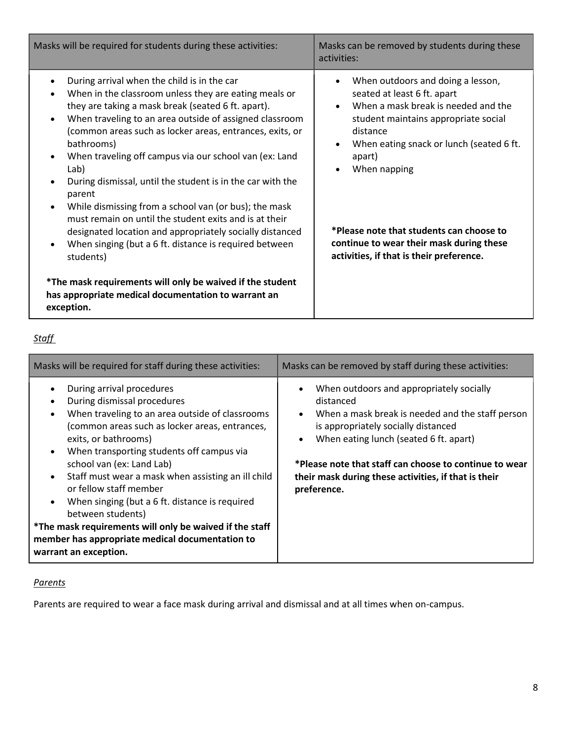| Masks will be required for students during these activities:                                                                                                                                                                                                                                                                                                                                                                                                                                                                                                                                                                                                                                                                                                                                                  | Masks can be removed by students during these<br>activities:                                                                                                                                                                                                                                                                                                                                                              |  |  |
|---------------------------------------------------------------------------------------------------------------------------------------------------------------------------------------------------------------------------------------------------------------------------------------------------------------------------------------------------------------------------------------------------------------------------------------------------------------------------------------------------------------------------------------------------------------------------------------------------------------------------------------------------------------------------------------------------------------------------------------------------------------------------------------------------------------|---------------------------------------------------------------------------------------------------------------------------------------------------------------------------------------------------------------------------------------------------------------------------------------------------------------------------------------------------------------------------------------------------------------------------|--|--|
| During arrival when the child is in the car<br>٠<br>When in the classroom unless they are eating meals or<br>they are taking a mask break (seated 6 ft. apart).<br>When traveling to an area outside of assigned classroom<br>$\bullet$<br>(common areas such as locker areas, entrances, exits, or<br>bathrooms)<br>When traveling off campus via our school van (ex: Land<br>٠<br>Lab)<br>During dismissal, until the student is in the car with the<br>parent<br>While dismissing from a school van (or bus); the mask<br>$\bullet$<br>must remain on until the student exits and is at their<br>designated location and appropriately socially distanced<br>When singing (but a 6 ft. distance is required between<br>$\bullet$<br>students)<br>*The mask requirements will only be waived if the student | When outdoors and doing a lesson,<br>$\bullet$<br>seated at least 6 ft. apart<br>When a mask break is needed and the<br>$\bullet$<br>student maintains appropriate social<br>distance<br>When eating snack or lunch (seated 6 ft.<br>$\bullet$<br>apart)<br>When napping<br>$\bullet$<br>*Please note that students can choose to<br>continue to wear their mask during these<br>activities, if that is their preference. |  |  |
| has appropriate medical documentation to warrant an<br>exception.                                                                                                                                                                                                                                                                                                                                                                                                                                                                                                                                                                                                                                                                                                                                             |                                                                                                                                                                                                                                                                                                                                                                                                                           |  |  |

#### *Staff*

| Masks will be required for staff during these activities:                                                                                                                                                                                                                                                                                                                                                                                                                                                                                                                                                         | Masks can be removed by staff during these activities:                                                                                                                                                                                                                                                                                                |  |  |
|-------------------------------------------------------------------------------------------------------------------------------------------------------------------------------------------------------------------------------------------------------------------------------------------------------------------------------------------------------------------------------------------------------------------------------------------------------------------------------------------------------------------------------------------------------------------------------------------------------------------|-------------------------------------------------------------------------------------------------------------------------------------------------------------------------------------------------------------------------------------------------------------------------------------------------------------------------------------------------------|--|--|
| During arrival procedures<br>During dismissal procedures<br>When traveling to an area outside of classrooms<br>$\bullet$<br>(common areas such as locker areas, entrances,<br>exits, or bathrooms)<br>When transporting students off campus via<br>$\bullet$<br>school van (ex: Land Lab)<br>Staff must wear a mask when assisting an ill child<br>$\bullet$<br>or fellow staff member<br>When singing (but a 6 ft. distance is required<br>$\bullet$<br>between students)<br>*The mask requirements will only be waived if the staff<br>member has appropriate medical documentation to<br>warrant an exception. | When outdoors and appropriately socially<br>distanced<br>When a mask break is needed and the staff person<br>$\bullet$<br>is appropriately socially distanced<br>When eating lunch (seated 6 ft. apart)<br>$\bullet$<br>*Please note that staff can choose to continue to wear<br>their mask during these activities, if that is their<br>preference. |  |  |

#### *Parents*

Parents are required to wear a face mask during arrival and dismissal and at all times when on-campus.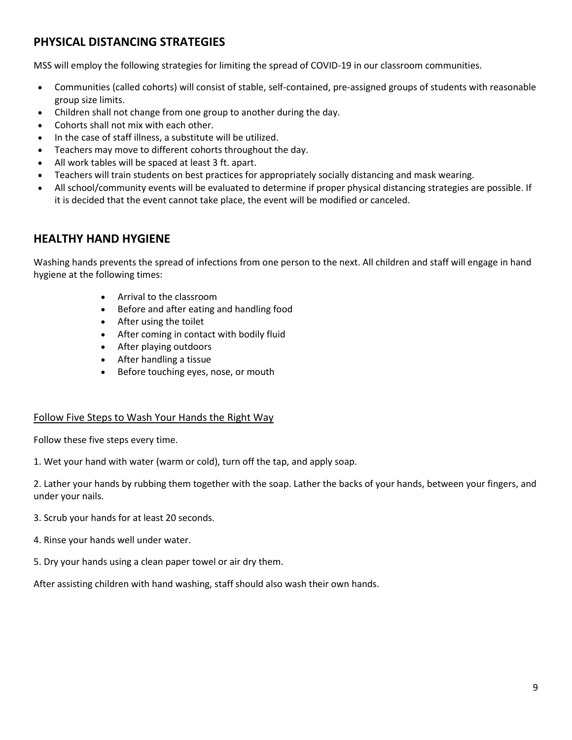# **PHYSICAL DISTANCING STRATEGIES**

MSS will employ the following strategies for limiting the spread of COVID-19 in our classroom communities.

- Communities (called cohorts) will consist of stable, self-contained, pre-assigned groups of students with reasonable group size limits.
- Children shall not change from one group to another during the day.
- Cohorts shall not mix with each other.
- In the case of staff illness, a substitute will be utilized.
- Teachers may move to different cohorts throughout the day.
- All work tables will be spaced at least 3 ft. apart.
- Teachers will train students on best practices for appropriately socially distancing and mask wearing.
- All school/community events will be evaluated to determine if proper physical distancing strategies are possible. If it is decided that the event cannot take place, the event will be modified or canceled.

### **HEALTHY HAND HYGIENE**

Washing hands prevents the spread of infections from one person to the next. All children and staff will engage in hand hygiene at the following times:

- Arrival to the classroom
- Before and after eating and handling food
- After using the toilet
- After coming in contact with bodily fluid
- After playing outdoors
- After handling a tissue
- Before touching eyes, nose, or mouth

#### Follow Five Steps to Wash Your Hands the Right Way

Follow these five steps every time.

1. Wet your hand with water (warm or cold), turn off the tap, and apply soap.

2. Lather your hands by rubbing them together with the soap. Lather the backs of your hands, between your fingers, and under your nails.

- 3. Scrub your hands for at least 20 seconds.
- 4. Rinse your hands well under water.
- 5. Dry your hands using a clean paper towel or air dry them.

After assisting children with hand washing, staff should also wash their own hands.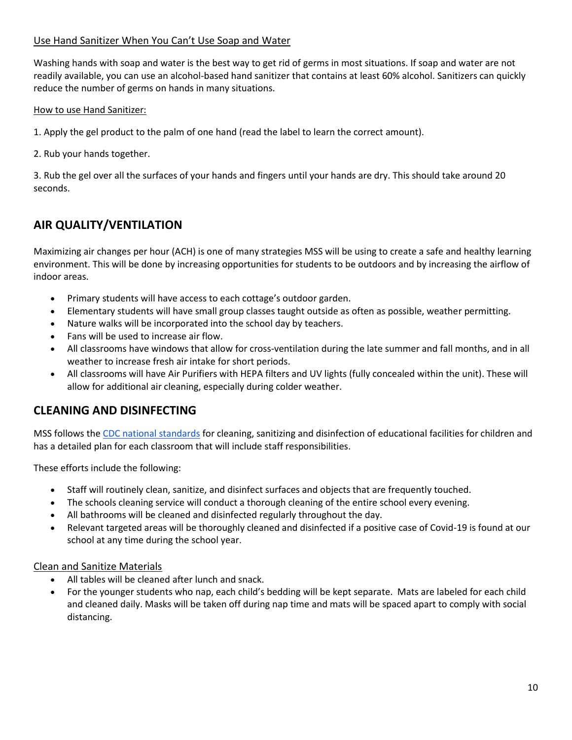#### Use Hand Sanitizer When You Can't Use Soap and Water

Washing hands with soap and water is the best way to get rid of germs in most situations. If soap and water are not readily available, you can use an alcohol-based hand sanitizer that contains at least 60% alcohol. Sanitizers can quickly reduce the number of germs on hands in many situations.

How to use Hand Sanitizer:

1. Apply the gel product to the palm of one hand (read the label to learn the correct amount).

2. Rub your hands together.

3. Rub the gel over all the surfaces of your hands and fingers until your hands are dry. This should take around 20 seconds.

### **AIR QUALITY/VENTILATION**

Maximizing air changes per hour (ACH) is one of many strategies MSS will be using to create a safe and healthy learning environment. This will be done by increasing opportunities for students to be outdoors and by increasing the airflow of indoor areas.

- Primary students will have access to each cottage's outdoor garden.
- Elementary students will have small group classes taught outside as often as possible, weather permitting.
- Nature walks will be incorporated into the school day by teachers.
- Fans will be used to increase air flow.
- All classrooms have windows that allow for cross-ventilation during the late summer and fall months, and in all weather to increase fresh air intake for short periods.
- All classrooms will have Air Purifiers with HEPA filters and UV lights (fully concealed within the unit). These will allow for additional air cleaning, especially during colder weather.

### **CLEANING AND DISINFECTING**

MSS follows the [CDC national standards](https://www.cdc.gov/coronavirus/2019-ncov/community/reopen-guidance.html) for cleaning, sanitizing and disinfection of educational facilities for children and has a detailed plan for each classroom that will include staff responsibilities.

These efforts include the following:

- Staff will routinely clean, sanitize, and disinfect surfaces and objects that are frequently touched.
- The schools cleaning service will conduct a thorough cleaning of the entire school every evening.
- All bathrooms will be cleaned and disinfected regularly throughout the day.
- Relevant targeted areas will be thoroughly cleaned and disinfected if a positive case of Covid-19 is found at our school at any time during the school year.

#### Clean and Sanitize Materials

- All tables will be cleaned after lunch and snack.
- For the younger students who nap, each child's bedding will be kept separate. Mats are labeled for each child and cleaned daily. Masks will be taken off during nap time and mats will be spaced apart to comply with social distancing.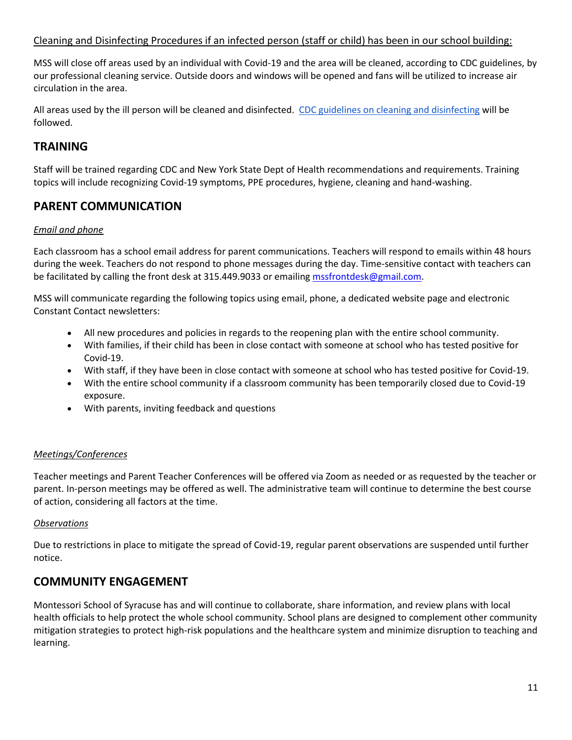#### Cleaning and Disinfecting Procedures if an infected person (staff or child) has been in our school building:

MSS will close off areas used by an individual with Covid-19 and the area will be cleaned, according to CDC guidelines, by our professional cleaning service. Outside doors and windows will be opened and fans will be utilized to increase air circulation in the area.

All areas used by the ill person will be cleaned and disinfected. [CDC guidelines on cleaning and disinfecting](https://www.cdc.gov/coronavirus/2019-ncov/community/disinfecting-building-facility.html) will be followed.

### **TRAINING**

Staff will be trained regarding CDC and New York State Dept of Health recommendations and requirements. Training topics will include recognizing Covid-19 symptoms, PPE procedures, hygiene, cleaning and hand-washing.

### **PARENT COMMUNICATION**

#### *Email and phone*

Each classroom has a school email address for parent communications. Teachers will respond to emails within 48 hours during the week. Teachers do not respond to phone messages during the day. Time-sensitive contact with teachers can be facilitated by calling the front desk at 315.449.9033 or emailin[g mssfrontdesk@gmail.com.](mailto:mssfrontdesk@gmail.com)

MSS will communicate regarding the following topics using email, phone, a dedicated website page and electronic Constant Contact newsletters:

- All new procedures and policies in regards to the reopening plan with the entire school community.
- With families, if their child has been in close contact with someone at school who has tested positive for Covid-19.
- With staff, if they have been in close contact with someone at school who has tested positive for Covid-19.
- With the entire school community if a classroom community has been temporarily closed due to Covid-19 exposure.
- With parents, inviting feedback and questions

#### *Meetings/Conferences*

Teacher meetings and Parent Teacher Conferences will be offered via Zoom as needed or as requested by the teacher or parent. In-person meetings may be offered as well. The administrative team will continue to determine the best course of action, considering all factors at the time.

#### *Observations*

Due to restrictions in place to mitigate the spread of Covid-19, regular parent observations are suspended until further notice.

### **COMMUNITY ENGAGEMENT**

Montessori School of Syracuse has and will continue to collaborate, share information, and review plans with local health officials to help protect the whole school community. School plans are designed to complement other community mitigation strategies to protect high-risk populations and the healthcare system and minimize disruption to teaching and learning.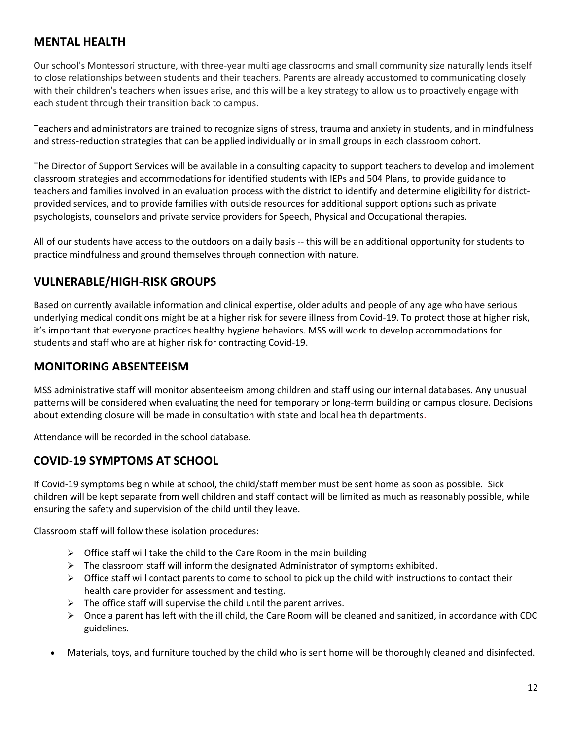# **MENTAL HEALTH**

Our school's Montessori structure, with three-year multi age classrooms and small community size naturally lends itself to close relationships between students and their teachers. Parents are already accustomed to communicating closely with their children's teachers when issues arise, and this will be a key strategy to allow us to proactively engage with each student through their transition back to campus.

Teachers and administrators are trained to recognize signs of stress, trauma and anxiety in students, and in mindfulness and stress-reduction strategies that can be applied individually or in small groups in each classroom cohort.

The Director of Support Services will be available in a consulting capacity to support teachers to develop and implement classroom strategies and accommodations for identified students with IEPs and 504 Plans, to provide guidance to teachers and families involved in an evaluation process with the district to identify and determine eligibility for districtprovided services, and to provide families with outside resources for additional support options such as private psychologists, counselors and private service providers for Speech, Physical and Occupational therapies.

All of our students have access to the outdoors on a daily basis -- this will be an additional opportunity for students to practice mindfulness and ground themselves through connection with nature.

# **VULNERABLE/HIGH-RISK GROUPS**

Based on currently available information and clinical expertise, older adults and people of any age who have serious underlying medical conditions might be at a higher risk for severe illness from Covid-19. To protect those at higher risk, it's important that everyone practices healthy hygiene behaviors. MSS will work to develop accommodations for students and staff who are at higher risk for contracting Covid-19.

### **MONITORING ABSENTEEISM**

MSS administrative staff will monitor absenteeism among children and staff using our internal databases. Any unusual patterns will be considered when evaluating the need for temporary or long-term building or campus closure. Decisions about extending closure will be made in consultation with state and local health departments.

Attendance will be recorded in the school database.

### **COVID-19 SYMPTOMS AT SCHOOL**

If Covid-19 symptoms begin while at school, the child/staff member must be sent home as soon as possible. Sick children will be kept separate from well children and staff contact will be limited as much as reasonably possible, while ensuring the safety and supervision of the child until they leave.

Classroom staff will follow these isolation procedures:

- ➢ Office staff will take the child to the Care Room in the main building
- $\triangleright$  The classroom staff will inform the designated Administrator of symptoms exhibited.
- $\triangleright$  Office staff will contact parents to come to school to pick up the child with instructions to contact their health care provider for assessment and testing.
- $\triangleright$  The office staff will supervise the child until the parent arrives.
- $\triangleright$  Once a parent has left with the ill child, the Care Room will be cleaned and sanitized, in accordance with CDC guidelines.
- Materials, toys, and furniture touched by the child who is sent home will be thoroughly cleaned and disinfected.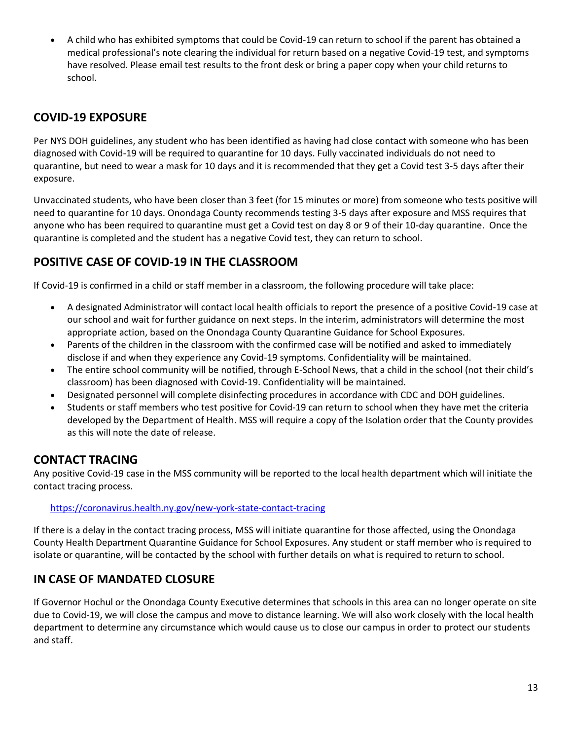• A child who has exhibited symptoms that could be Covid-19 can return to school if the parent has obtained a medical professional's note clearing the individual for return based on a negative Covid-19 test, and symptoms have resolved. Please email test results to the front desk or bring a paper copy when your child returns to school.

### **COVID-19 EXPOSURE**

Per NYS DOH guidelines, any student who has been identified as having had close contact with someone who has been diagnosed with Covid-19 will be required to quarantine for 10 days. Fully vaccinated individuals do not need to quarantine, but need to wear a mask for 10 days and it is recommended that they get a Covid test 3-5 days after their exposure.

Unvaccinated students, who have been closer than 3 feet (for 15 minutes or more) from someone who tests positive will need to quarantine for 10 days. Onondaga County recommends testing 3-5 days after exposure and MSS requires that anyone who has been required to quarantine must get a Covid test on day 8 or 9 of their 10-day quarantine. Once the quarantine is completed and the student has a negative Covid test, they can return to school.

# **POSITIVE CASE OF COVID-19 IN THE CLASSROOM**

If Covid-19 is confirmed in a child or staff member in a classroom, the following procedure will take place:

- A designated Administrator will contact local health officials to report the presence of a positive Covid-19 case at our school and wait for further guidance on next steps. In the interim, administrators will determine the most appropriate action, based on the Onondaga County Quarantine Guidance for School Exposures.
- Parents of the children in the classroom with the confirmed case will be notified and asked to immediately disclose if and when they experience any Covid-19 symptoms. Confidentiality will be maintained.
- The entire school community will be notified, through E-School News, that a child in the school (not their child's classroom) has been diagnosed with Covid-19. Confidentiality will be maintained.
- Designated personnel will complete disinfecting procedures in accordance with CDC and DOH guidelines.
- Students or staff members who test positive for Covid-19 can return to school when they have met the criteria developed by the Department of Health. MSS will require a copy of the Isolation order that the County provides as this will note the date of release.

### **CONTACT TRACING**

Any positive Covid-19 case in the MSS community will be reported to the local health department which will initiate the contact tracing process.

<https://coronavirus.health.ny.gov/new-york-state-contact-tracing>

If there is a delay in the contact tracing process, MSS will initiate quarantine for those affected, using the Onondaga County Health Department Quarantine Guidance for School Exposures. Any student or staff member who is required to isolate or quarantine, will be contacted by the school with further details on what is required to return to school.

### **IN CASE OF MANDATED CLOSURE**

If Governor Hochul or the Onondaga County Executive determines that schools in this area can no longer operate on site due to Covid-19, we will close the campus and move to distance learning. We will also work closely with the local health department to determine any circumstance which would cause us to close our campus in order to protect our students and staff.